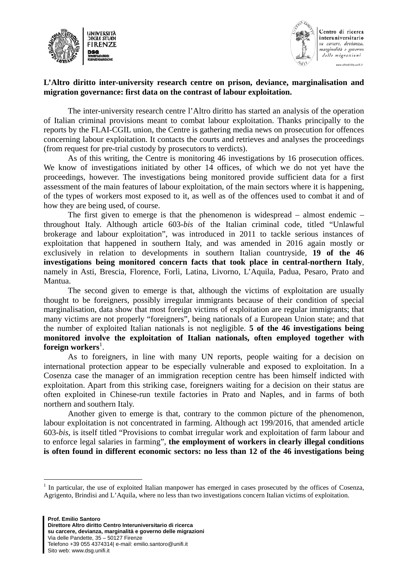



Centro di ricerca interuniversitario su carcere, devianza, marginalità e governo delle migrazioni www.altrodivitto.unifi.it

## **L'Altro diritto inter-university research centre on prison, deviance, marginalisation and migration governance: first data on the contrast of labour exploitation.**

The inter-university research centre l'Altro diritto has started an analysis of the operation of Italian criminal provisions meant to combat labour exploitation. Thanks principally to the reports by the FLAI-CGIL union, the Centre is gathering media news on prosecution for offences concerning labour exploitation. It contacts the courts and retrieves and analyses the proceedings (from request for pre-trial custody by prosecutors to verdicts).

As of this writing, the Centre is monitoring 46 investigations by 16 prosecution offices. We know of investigations initiated by other 14 offices, of which we do not yet have the proceedings, however. The investigations being monitored provide sufficient data for a first assessment of the main features of labour exploitation, of the main sectors where it is happening, of the types of workers most exposed to it, as well as of the offences used to combat it and of how they are being used, of course.

The first given to emerge is that the phenomenon is widespread – almost endemic – throughout Italy. Although article 603-*bis* of the Italian criminal code, titled "Unlawful brokerage and labour exploitation", was introduced in 2011 to tackle serious instances of exploitation that happened in southern Italy, and was amended in 2016 again mostly or exclusively in relation to developments in southern Italian countryside, **19 of the 46 investigations being monitored concern facts that took place in central-northern Italy**, namely in Asti, Brescia, Florence, Forlì, Latina, Livorno, L'Aquila, Padua, Pesaro, Prato and Mantua.

The second given to emerge is that, although the victims of exploitation are usually thought to be foreigners, possibly irregular immigrants because of their condition of special marginalisation, data show that most foreign victims of exploitation are regular immigrants; that many victims are not properly "foreigners", being nationals of a European Union state; and that the number of exploited Italian nationals is not negligible. **5 of the 46 investigations being monitored involve the exploitation of Italian nationals, often employed together with foreign workers**<sup>1</sup> .

As to foreigners, in line with many UN reports, people waiting for a decision on international protection appear to be especially vulnerable and exposed to exploitation. In a Cosenza case the manager of an immigration reception centre has been himself indicted with exploitation. Apart from this striking case, foreigners waiting for a decision on their status are often exploited in Chinese-run textile factories in Prato and Naples, and in farms of both northern and southern Italy.

Another given to emerge is that, contrary to the common picture of the phenomenon, labour exploitation is not concentrated in farming. Although act 199/2016, that amended article 603-*bis*, is itself titled "Provisions to combat irregular work and exploitation of farm labour and to enforce legal salaries in farming", **the employment of workers in clearly illegal conditions is often found in different economic sectors: no less than 12 of the 46 investigations being** 

1

<sup>1</sup> In particular, the use of exploited Italian manpower has emerged in cases prosecuted by the offices of Cosenza, Agrigento, Brindisi and L'Aquila, where no less than two investigations concern Italian victims of exploitation.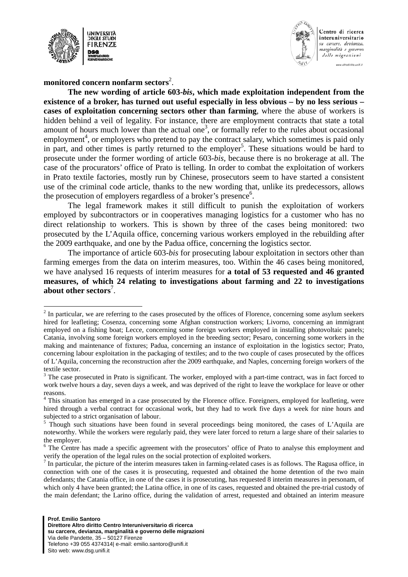

1



Centro di ricerca interuniversitario su carcere, devianza, marginalità e governo delle migrazioni

www.altrodiritto.unifi.it

monitored concern nonfarm sectors<sup>2</sup>.

**The new wording of article 603-***bis***, which made exploitation independent from the existence of a broker, has turned out useful especially in less obvious – by no less serious – cases of exploitation concerning sectors other than farming**, where the abuse of workers is hidden behind a veil of legality. For instance, there are employment contracts that state a total amount of hours much lower than the actual one<sup>3</sup>, or formally refer to the rules about occasional employment<sup>4</sup>, or employers who pretend to pay the contract salary, which sometimes is paid only in part, and other times is partly returned to the employer<sup>5</sup>. These situations would be hard to prosecute under the former wording of article 603-*bis*, because there is no brokerage at all. The case of the procurators' office of Prato is telling. In order to combat the exploitation of workers in Prato textile factories, mostly run by Chinese, prosecutors seem to have started a consistent use of the criminal code article, thanks to the new wording that, unlike its predecessors, allows the prosecution of employers regardless of a broker's presence $6$ .

The legal framework makes it still difficult to punish the exploitation of workers employed by subcontractors or in cooperatives managing logistics for a customer who has no direct relationship to workers. This is shown by three of the cases being monitored: two prosecuted by the L'Aquila office, concerning various workers employed in the rebuilding after the 2009 earthquake, and one by the Padua office, concerning the logistics sector.

The importance of article 603-*bis* for prosecuting labour exploitation in sectors other than farming emerges from the data on interim measures, too. Within the 46 cases being monitored, we have analysed 16 requests of interim measures for **a total of 53 requested and 46 granted measures, of which 24 relating to investigations about farming and 22 to investigations about other sectors**<sup>7</sup> .

 $2<sup>2</sup>$  In particular, we are referring to the cases prosecuted by the offices of Florence, concerning some asylum seekers hired for leafleting; Cosenza, concerning some Afghan construction workers; Livorno, concerning an immigrant employed on a fishing boat; Lecce, concerning some foreign workers employed in installing photovoltaic panels; Catania, involving some foreign workers employed in the breeding sector; Pesaro, concerning some workers in the making and maintenance of fixtures; Padua, concerning an instance of exploitation in the logistics sector; Prato, concerning labour exploitation in the packaging of textiles; and to the two couple of cases prosecuted by the offices of L'Aquila, concerning the reconstruction after the 2009 earthquake, and Naples, concerning foreign workers of the textile sector.

 $3$  The case prosecuted in Prato is significant. The worker, employed with a part-time contract, was in fact forced to work twelve hours a day, seven days a week, and was deprived of the right to leave the workplace for leave or other reasons.

<sup>&</sup>lt;sup>4</sup> This situation has emerged in a case prosecuted by the Florence office. Foreigners, employed for leafleting, were hired through a verbal contract for occasional work, but they had to work five days a week for nine hours and subjected to a strict organisation of labour.

<sup>&</sup>lt;sup>5</sup> Though such situations have been found in several proceedings being monitored, the cases of L'Aquila are noteworthy. While the workers were regularly paid, they were later forced to return a large share of their salaries to the employer.

<sup>&</sup>lt;sup>6</sup> The Centre has made a specific agreement with the prosecutors' office of Prato to analyse this employment and verify the operation of the legal rules on the social protection of exploited workers.

 $<sup>7</sup>$  In particular, the picture of the interim measures taken in farming-related cases is as follows. The Ragusa office, in</sup> connection with one of the cases it is prosecuting, requested and obtained the home detention of the two main defendants; the Catania office, in one of the cases it is prosecuting, has requested 8 interim measures in personam, of which only 4 have been granted; the Latina office, in one of its cases, requested and obtained the pre-trial custody of the main defendant; the Larino office, during the validation of arrest, requested and obtained an interim measure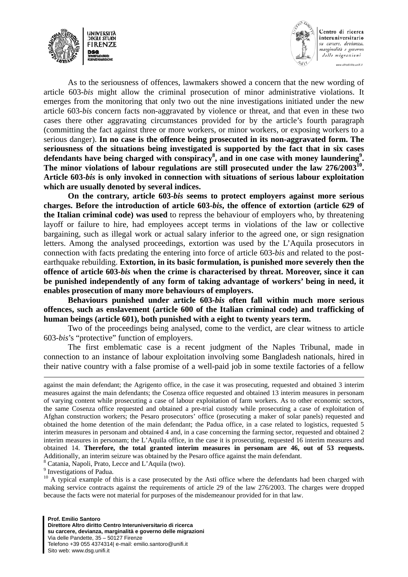



Centro di ricerca interuniversitario su carcere, devianza, marginalità e governo delle migrazioni www.altrodivitto.unifi.it

As to the seriousness of offences, lawmakers showed a concern that the new wording of article 603-*bis* might allow the criminal prosecution of minor administrative violations. It emerges from the monitoring that only two out the nine investigations initiated under the new article 603-*bis* concern facts non-aggravated by violence or threat, and that even in these two cases there other aggravating circumstances provided for by the article's fourth paragraph (committing the fact against three or more workers, or minor workers, or exposing workers to a serious danger). **In no case is the offence being prosecuted in its non-aggravated form. The seriousness of the situations being investigated is supported by the fact that in six cases**  defendants have being charged with conspiracy<sup>8</sup>, and in one case with money laundering<sup>9</sup>. **The minor violations of labour regulations are still prosecuted under the law 276/200310. Article 603-***bis* **is only invoked in connection with situations of serious labour exploitation which are usually denoted by several indices.** 

**On the contrary, article 603-***bis* **seems to protect employers against more serious charges. Before the introduction of article 603-***bis***, the offence of extortion (article 629 of the Italian criminal code) was used** to repress the behaviour of employers who, by threatening layoff or failure to hire, had employees accept terms in violations of the law or collective bargaining, such as illegal work or actual salary inferior to the agreed one, or sign resignation letters. Among the analysed proceedings, extortion was used by the L'Aquila prosecutors in connection with facts predating the entering into force of article 603-*bis* and related to the postearthquake rebuilding. **Extortion, in its basic formulation, is punished more severely then the offence of article 603-***bis* **when the crime is characterised by threat. Moreover, since it can be punished independently of any form of taking advantage of workers' being in need, it enables prosecution of many more behaviours of employers.** 

**Behaviours punished under article 603-***bis* **often fall within much more serious offences, such as enslavement (article 600 of the Italian criminal code) and trafficking of human beings (article 601), both punished with a eight to twenty years term.**

Two of the proceedings being analysed, come to the verdict, are clear witness to article 603-*bis*'s "protective" function of employers.

The first emblematic case is a recent judgment of the Naples Tribunal, made in connection to an instance of labour exploitation involving some Bangladesh nationals, hired in their native country with a false promise of a well-paid job in some textile factories of a fellow

Catania, Napoli, Prato, Lecce and L'Aquila (two).

<sup>9</sup> Investigations of Padua.

<sup>10</sup> A typical example of this is a case prosecuted by the Asti office where the defendants had been charged with making service contracts against the requirements of article 29 of the law 276/2003. The charges were dropped because the facts were not material for purposes of the misdemeanour provided for in that law.

against the main defendant; the Agrigento office, in the case it was prosecuting, requested and obtained 3 interim measures against the main defendants; the Cosenza office requested and obtained 13 interim measures in personam of varying content while prosecuting a case of labour exploitation of farm workers. As to other economic sectors, the same Cosenza office requested and obtained a pre-trial custody while prosecuting a case of exploitation of Afghan construction workers; the Pesaro prosecutors' office (prosecuting a maker of solar panels) requested and obtained the home detention of the main defendant; the Padua office, in a case related to logistics, requested 5 interim measures in personam and obtained 4 and, in a case concerning the farming sector, requested and obtained 2 interim measures in personam; the L'Aquila office, in the case it is prosecuting, requested 16 interim measures and obtained 14. **Therefore, the total granted interim measures in personam are 46, out of 53 requests.** Additionally, an interim seizure was obtained by the Pesaro office against the main defendant. 8